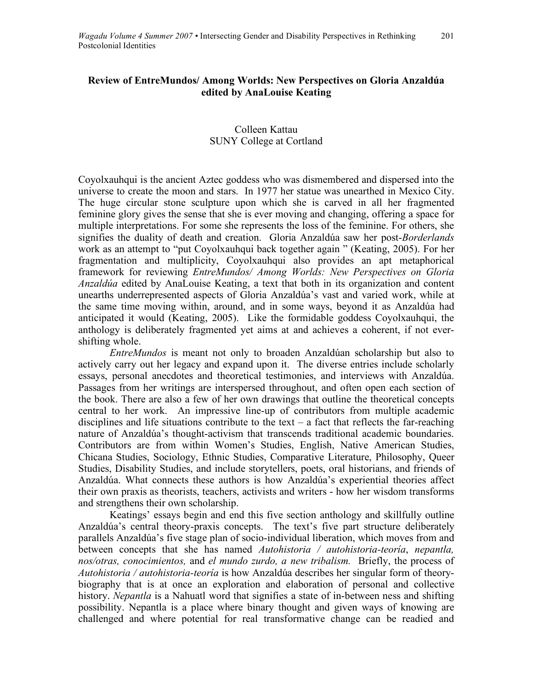## **Review of EntreMundos/ Among Worlds: New Perspectives on Gloria Anzaldúa edited by AnaLouise Keating**

## Colleen Kattau SUNY College at Cortland

Coyolxauhqui is the ancient Aztec goddess who was dismembered and dispersed into the universe to create the moon and stars. In 1977 her statue was unearthed in Mexico City. The huge circular stone sculpture upon which she is carved in all her fragmented feminine glory gives the sense that she is ever moving and changing, offering a space for multiple interpretations. For some she represents the loss of the feminine. For others, she signifies the duality of death and creation. Gloria Anzaldúa saw her post-*Borderlands* work as an attempt to "put Coyolxauhqui back together again " (Keating, 2005). For her fragmentation and multiplicity, Coyolxauhqui also provides an apt metaphorical framework for reviewing *EntreMundos/ Among Worlds: New Perspectives on Gloria Anzaldúa* edited by AnaLouise Keating, a text that both in its organization and content unearths underrepresented aspects of Gloria Anzaldúa's vast and varied work, while at the same time moving within, around, and in some ways, beyond it as Anzaldúa had anticipated it would (Keating, 2005). Like the formidable goddess Coyolxauhqui, the anthology is deliberately fragmented yet aims at and achieves a coherent, if not evershifting whole.

*EntreMundos* is meant not only to broaden Anzaldúan scholarship but also to actively carry out her legacy and expand upon it. The diverse entries include scholarly essays, personal anecdotes and theoretical testimonies, and interviews with Anzaldúa. Passages from her writings are interspersed throughout, and often open each section of the book. There are also a few of her own drawings that outline the theoretical concepts central to her work. An impressive line-up of contributors from multiple academic disciplines and life situations contribute to the text – a fact that reflects the far-reaching nature of Anzaldúa's thought-activism that transcends traditional academic boundaries. Contributors are from within Women's Studies, English, Native American Studies, Chicana Studies, Sociology, Ethnic Studies, Comparative Literature, Philosophy, Queer Studies, Disability Studies, and include storytellers, poets, oral historians, and friends of Anzaldúa. What connects these authors is how Anzaldúa's experiential theories affect their own praxis as theorists, teachers, activists and writers - how her wisdom transforms and strengthens their own scholarship.

Keatings' essays begin and end this five section anthology and skillfully outline Anzaldúa's central theory-praxis concepts. The text's five part structure deliberately parallels Anzaldúa's five stage plan of socio-individual liberation, which moves from and between concepts that she has named *Autohistoria / autohistoria-teoría*, *nepantla, nos/otras, conocimientos,* and *el mundo zurdo, a new tribalism.* Briefly, the process of *Autohistoria / autohistoria-teoría* is how Anzaldúa describes her singular form of theorybiography that is at once an exploration and elaboration of personal and collective history. *Nepantla* is a Nahuatl word that signifies a state of in-between ness and shifting possibility. Nepantla is a place where binary thought and given ways of knowing are challenged and where potential for real transformative change can be readied and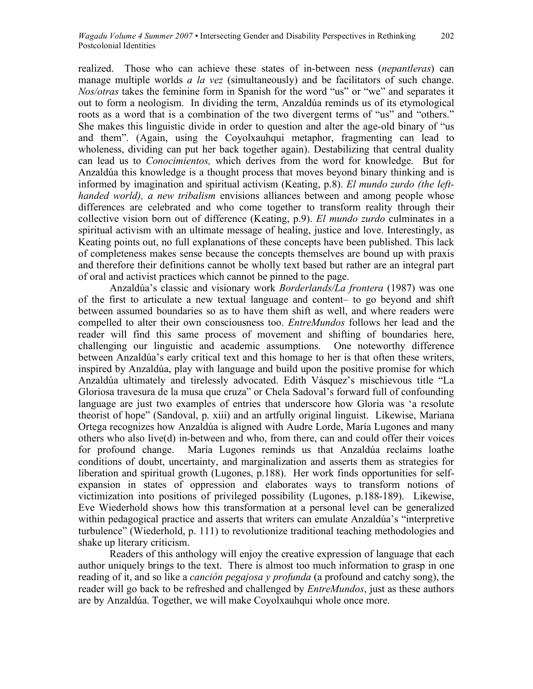realized. Those who can achieve these states of in-between ness (*nepantleras*) can manage multiple worlds *a la vez* (simultaneously) and be facilitators of such change. *Nos/otras* takes the feminine form in Spanish for the word "us" or "we" and separates it out to form a neologism. In dividing the term, Anzaldúa reminds us of its etymological roots as a word that is a combination of the two divergent terms of "us" and "others." She makes this linguistic divide in order to question and alter the age-old binary of "us and them". (Again, using the Coyolxauhqui metaphor, fragmenting can lead to wholeness, dividing can put her back together again). Destabilizing that central duality can lead us to *Conocimientos,* which derives from the word for knowledge. But for Anzaldúa this knowledge is a thought process that moves beyond binary thinking and is informed by imagination and spiritual activism (Keating, p.8). *El mundo zurdo (the lefthanded world), a new tribalism* envisions alliances between and among people whose differences are celebrated and who come together to transform reality through their collective vision born out of difference (Keating, p.9). *El mundo zurdo* culminates in a spiritual activism with an ultimate message of healing, justice and love. Interestingly, as Keating points out, no full explanations of these concepts have been published. This lack of completeness makes sense because the concepts themselves are bound up with praxis and therefore their definitions cannot be wholly text based but rather are an integral part of oral and activist practices which cannot be pinned to the page.

Anzaldúa's classic and visionary work *Borderlands/La frontera* (1987) was one of the first to articulate a new textual language and content– to go beyond and shift between assumed boundaries so as to have them shift as well, and where readers were compelled to alter their own consciousness too. *EntreMundos* follows her lead and the reader will find this same process of movement and shifting of boundaries here, challenging our linguistic and academic assumptions. One noteworthy difference between Anzaldúa's early critical text and this homage to her is that often these writers, inspired by Anzaldúa, play with language and build upon the positive promise for which Anzaldúa ultimately and tirelessly advocated. Edith Vásquez's mischievous title "La Gloriosa travesura de la musa que cruza" or Chela Sadoval's forward full of confounding language are just two examples of entries that underscore how Gloria was 'a resolute theorist of hope" (Sandoval, p. xiii) and an artfully original linguist. Likewise, Mariana Ortega recognizes how Anzaldúa is aligned with Audre Lorde, María Lugones and many others who also live(d) in-between and who, from there, can and could offer their voices for profound change. María Lugones reminds us that Anzaldúa reclaims loathe conditions of doubt, uncertainty, and marginalization and asserts them as strategies for liberation and spiritual growth (Lugones, p.188). Her work finds opportunities for selfexpansion in states of oppression and elaborates ways to transform notions of victimization into positions of privileged possibility (Lugones, p.188-189). Likewise, Eve Wiederhold shows how this transformation at a personal level can be generalized within pedagogical practice and asserts that writers can emulate Anzaldúa's "interpretive turbulence" (Wiederhold, p. 111) to revolutionize traditional teaching methodologies and shake up literary criticism.

Readers of this anthology will enjoy the creative expression of language that each author uniquely brings to the text. There is almost too much information to grasp in one reading of it, and so like a *canción pegajosa y profunda* (a profound and catchy song), the reader will go back to be refreshed and challenged by *EntreMundos*, just as these authors are by Anzaldúa. Together, we will make Coyolxauhqui whole once more.